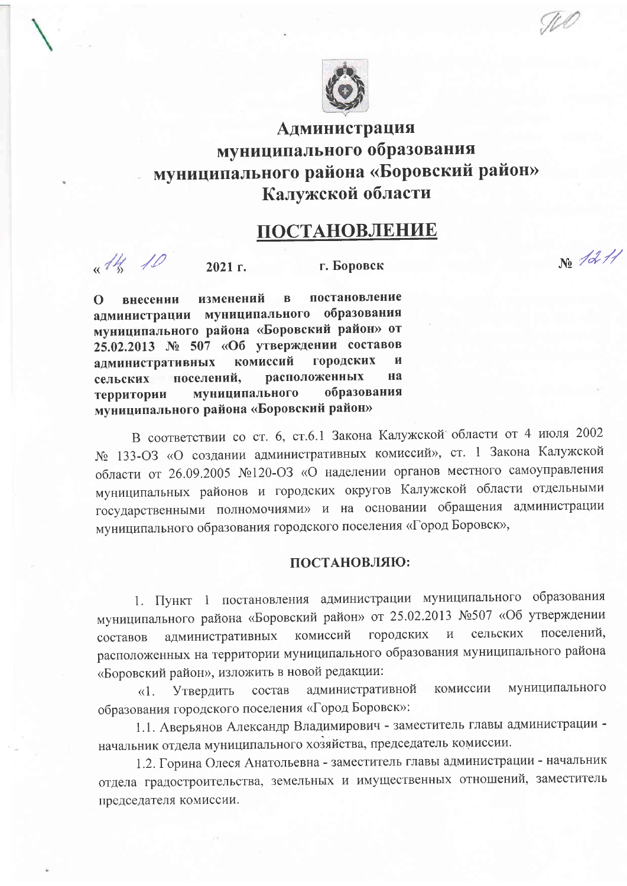

## Администрация муниципального образования муниципального района «Боровский район» Калужской области

## ПОСТАНОВЛЕНИЕ

No 1211

 $14.10$ 

 $2021$  r.

г. Боровск

постановление изменений  $\mathbf{B}$  $\Omega$ внесении администрации муниципального образования муниципального района «Боровский район» от 25.02.2013 № 507 «Об утверждении составов комиссий городских алминистративных И расположенных на поселений. сельских муниципального образования территории муниципального района «Боровский район»

В соответствии со ст. 6, ст.6.1 Закона Калужской области от 4 июля 2002 № 133-ОЗ «О создании административных комиссий», ст. 1 Закона Калужской области от 26.09.2005 №120-ОЗ «О наделении органов местного самоуправления муниципальных районов и городских округов Калужской области отдельными государственными полномочиями» и на основании обращения администрации муниципального образования городского поселения «Город Боровск»,

## ПОСТАНОВЛЯЮ:

1. Пункт 1 постановления администрации муниципального образования муниципального района «Боровский район» от 25.02.2013 №507 «Об утверждении поселений, сельских комиссий городских административных составов расположенных на территории муниципального образования муниципального района «Боровский район», изложить в новой редакции:

муниципального комиссии административной Утвердить состав  $\langle \langle 1 \rangle$ образования городского поселения «Город Боровск»:

1.1. Аверьянов Александр Владимирович - заместитель главы администрации начальник отдела муниципального хозяйства, председатель комиссии.

1.2. Горина Олеся Анатольевна - заместитель главы администрации - начальник отдела градостроительства, земельных и имущественных отношений, заместитель председателя комиссии.